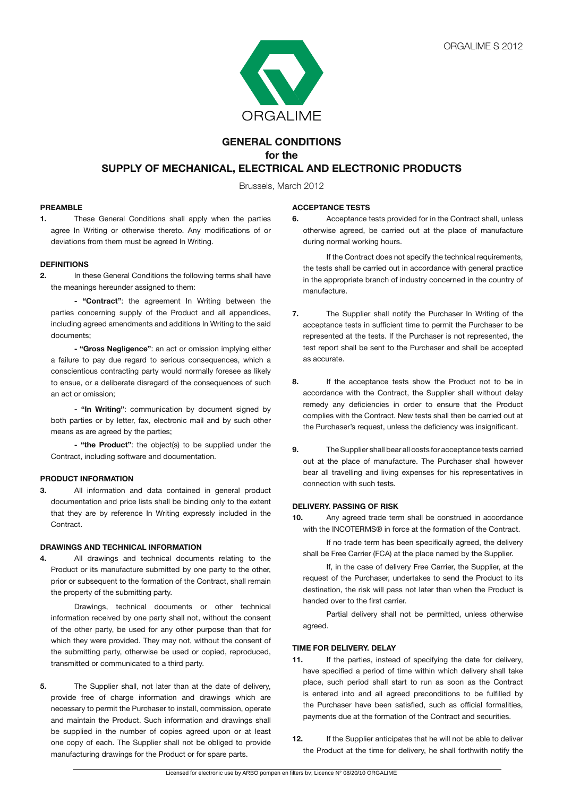

# **GENERAL CONDITIONS for the SUPPLY OF MECHANICAL, ELECTRICAL AND ELECTRONIC PRODUCTS**

Brussels, March 2012

### **PREAMBLE**

**1.** These General Conditions shall apply when the parties agree In Writing or otherwise thereto. Any modifications of or deviations from them must be agreed In Writing.

## **DEFINITIONS**

**2.** In these General Conditions the following terms shall have the meanings hereunder assigned to them:

**- "Contract"**: the agreement In Writing between the parties concerning supply of the Product and all appendices, including agreed amendments and additions In Writing to the said documents;

**- "Gross Negligence"**: an act or omission implying either a failure to pay due regard to serious consequences, which a conscientious contracting party would normally foresee as likely to ensue, or a deliberate disregard of the consequences of such an act or omission;

 **- "In Writing"**: communication by document signed by both parties or by letter, fax, electronic mail and by such other means as are agreed by the parties;

**- "the Product"**: the object(s) to be supplied under the Contract, including software and documentation.

### **PRODUCT INFORMATION**

**3.** All information and data contained in general product documentation and price lists shall be binding only to the extent that they are by reference In Writing expressly included in the Contract.

### **DRAWINGS AND TECHNICAL INFORMATION**

**4.** All drawings and technical documents relating to the Product or its manufacture submitted by one party to the other, prior or subsequent to the formation of the Contract, shall remain the property of the submitting party.

 Drawings, technical documents or other technical information received by one party shall not, without the consent of the other party, be used for any other purpose than that for which they were provided. They may not, without the consent of the submitting party, otherwise be used or copied, reproduced, transmitted or communicated to a third party.

**5.** The Supplier shall, not later than at the date of delivery, provide free of charge information and drawings which are necessary to permit the Purchaser to install, commission, operate and maintain the Product. Such information and drawings shall be supplied in the number of copies agreed upon or at least one copy of each. The Supplier shall not be obliged to provide manufacturing drawings for the Product or for spare parts.

### **ACCEPTANCE TESTS**

**6.** Acceptance tests provided for in the Contract shall, unless otherwise agreed, be carried out at the place of manufacture during normal working hours.

 If the Contract does not specify the technical requirements, the tests shall be carried out in accordance with general practice in the appropriate branch of industry concerned in the country of manufacture.

- **7.** The Supplier shall notify the Purchaser In Writing of the acceptance tests in sufficient time to permit the Purchaser to be represented at the tests. If the Purchaser is not represented, the test report shall be sent to the Purchaser and shall be accepted as accurate.
- **8.** If the acceptance tests show the Product not to be in accordance with the Contract, the Supplier shall without delay remedy any deficiencies in order to ensure that the Product complies with the Contract. New tests shall then be carried out at the Purchaser's request, unless the deficiency was insignificant.
- **9.** The Supplier shall bear all costs for acceptance tests carried out at the place of manufacture. The Purchaser shall however bear all travelling and living expenses for his representatives in connection with such tests.

### **DELIVERY. PASSING OF RISK**

**10.** Any agreed trade term shall be construed in accordance with the INCOTERMS® in force at the formation of the Contract.

 If no trade term has been specifically agreed, the delivery shall be Free Carrier (FCA) at the place named by the Supplier.

 If, in the case of delivery Free Carrier, the Supplier, at the request of the Purchaser, undertakes to send the Product to its destination, the risk will pass not later than when the Product is handed over to the first carrier.

 Partial delivery shall not be permitted, unless otherwise agreed.

## **TIME FOR DELIVERY. DELAY**

- **11.** If the parties, instead of specifying the date for delivery, have specified a period of time within which delivery shall take place, such period shall start to run as soon as the Contract is entered into and all agreed preconditions to be fulfilled by the Purchaser have been satisfied, such as official formalities, payments due at the formation of the Contract and securities.
- **12.** If the Supplier anticipates that he will not be able to deliver the Product at the time for delivery, he shall forthwith notify the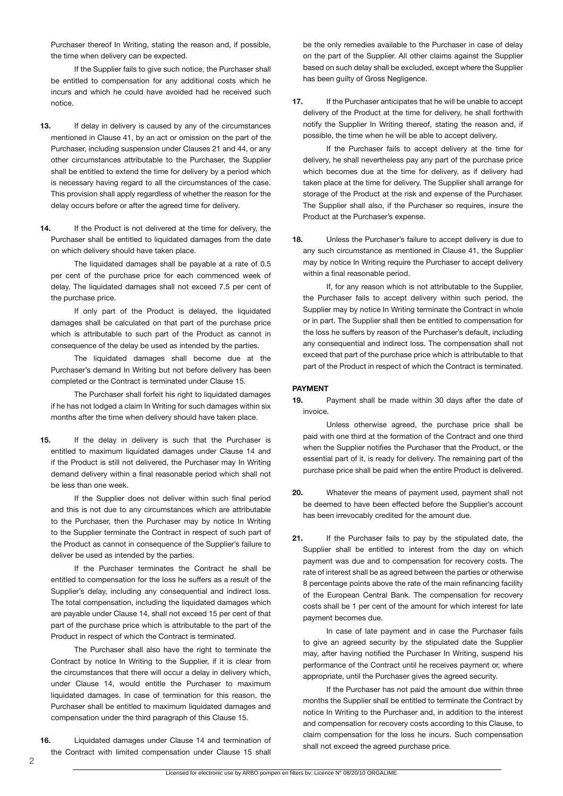Purchaser thereof In Writing, stating the reason and, if possible, the time when delivery can be expected.

 If the Supplier fails to give such notice, the Purchaser shall be entitled to compensation for any additional costs which he incurs and which he could have avoided had he received such notice.

- **13.** If delay in delivery is caused by any of the circumstances mentioned in Clause 41, by an act or omission on the part of the Purchaser, including suspension under Clauses 21 and 44, or any other circumstances attributable to the Purchaser, the Supplier shall be entitled to extend the time for delivery by a period which is necessary having regard to all the circumstances of the case. This provision shall apply regardless of whether the reason for the delay occurs before or after the agreed time for delivery.
- 14. If the Product is not delivered at the time for delivery, the Purchaser shall be entitled to liquidated damages from the date on which delivery should have taken place.

 The liquidated damages shall be payable at a rate of 0.5 per cent of the purchase price for each commenced week of delay. The liquidated damages shall not exceed 7.5 per cent of the purchase price.

 If only part of the Product is delayed, the liquidated damages shall be calculated on that part of the purchase price which is attributable to such part of the Product as cannot in consequence of the delay be used as intended by the parties.

 The liquidated damages shall become due at the Purchaser's demand In Writing but not before delivery has been completed or the Contract is terminated under Clause 15.

 The Purchaser shall forfeit his right to liquidated damages if he has not lodged a claim In Writing for such damages within six months after the time when delivery should have taken place.

**15.** If the delay in delivery is such that the Purchaser is entitled to maximum liquidated damages under Clause 14 and if the Product is still not delivered, the Purchaser may In Writing demand delivery within a final reasonable period which shall not be less than one week.

 If the Supplier does not deliver within such final period and this is not due to any circumstances which are attributable to the Purchaser, then the Purchaser may by notice In Writing to the Supplier terminate the Contract in respect of such part of the Product as cannot in consequence of the Supplier's failure to deliver be used as intended by the parties.

 If the Purchaser terminates the Contract he shall be entitled to compensation for the loss he suffers as a result of the Supplier's delay, including any consequential and indirect loss. The total compensation, including the liquidated damages which are payable under Clause 14, shall not exceed 15 per cent of that part of the purchase price which is attributable to the part of the Product in respect of which the Contract is terminated.

 The Purchaser shall also have the right to terminate the Contract by notice In Writing to the Supplier, if it is clear from the circumstances that there will occur a delay in delivery which, under Clause 14, would entitle the Purchaser to maximum liquidated damages. In case of termination for this reason, the Purchaser shall be entitled to maximum liquidated damages and compensation under the third paragraph of this Clause 15.

**16.** Liquidated damages under Clause 14 and termination of the Contract with limited compensation under Clause 15 shall

be the only remedies available to the Purchaser in case of delay on the part of the Supplier. All other claims against the Supplier based on such delay shall be excluded, except where the Supplier has been guilty of Gross Negligence.

**17.** If the Purchaser anticipates that he will be unable to accept delivery of the Product at the time for delivery, he shall forthwith notify the Supplier In Writing thereof, stating the reason and, if possible, the time when he will be able to accept delivery.

 If the Purchaser fails to accept delivery at the time for delivery, he shall nevertheless pay any part of the purchase price which becomes due at the time for delivery, as if delivery had taken place at the time for delivery. The Supplier shall arrange for storage of the Product at the risk and expense of the Purchaser. The Supplier shall also, if the Purchaser so requires, insure the Product at the Purchaser's expense.

**18.** Unless the Purchaser's failure to accept delivery is due to any such circumstance as mentioned in Clause 41, the Supplier may by notice In Writing require the Purchaser to accept delivery within a final reasonable period.

 If, for any reason which is not attributable to the Supplier, the Purchaser fails to accept delivery within such period, the Supplier may by notice In Writing terminate the Contract in whole or in part. The Supplier shall then be entitled to compensation for the loss he suffers by reason of the Purchaser's default, including any consequential and indirect loss. The compensation shall not exceed that part of the purchase price which is attributable to that part of the Product in respect of which the Contract is terminated.

## **PAYMENT**

**19.** Payment shall be made within 30 days after the date of invoice.

 Unless otherwise agreed, the purchase price shall be paid with one third at the formation of the Contract and one third when the Supplier notifies the Purchaser that the Product, or the essential part of it, is ready for delivery. The remaining part of the purchase price shall be paid when the entire Product is delivered.

- **20.** Whatever the means of payment used, payment shall not be deemed to have been effected before the Supplier's account has been irrevocably credited for the amount due.
- **21.** If the Purchaser fails to pay by the stipulated date, the Supplier shall be entitled to interest from the day on which payment was due and to compensation for recovery costs. The rate of interest shall be as agreed between the parties or otherwise 8 percentage points above the rate of the main refinancing facility of the European Central Bank. The compensation for recovery costs shall be 1 per cent of the amount for which interest for late payment becomes due.

 In case of late payment and in case the Purchaser fails to give an agreed security by the stipulated date the Supplier may, after having notified the Purchaser In Writing, suspend his performance of the Contract until he receives payment or, where appropriate, until the Purchaser gives the agreed security.

 If the Purchaser has not paid the amount due within three months the Supplier shall be entitled to terminate the Contract by notice In Writing to the Purchaser and, in addition to the interest and compensation for recovery costs according to this Clause, to claim compensation for the loss he incurs. Such compensation shall not exceed the agreed purchase price.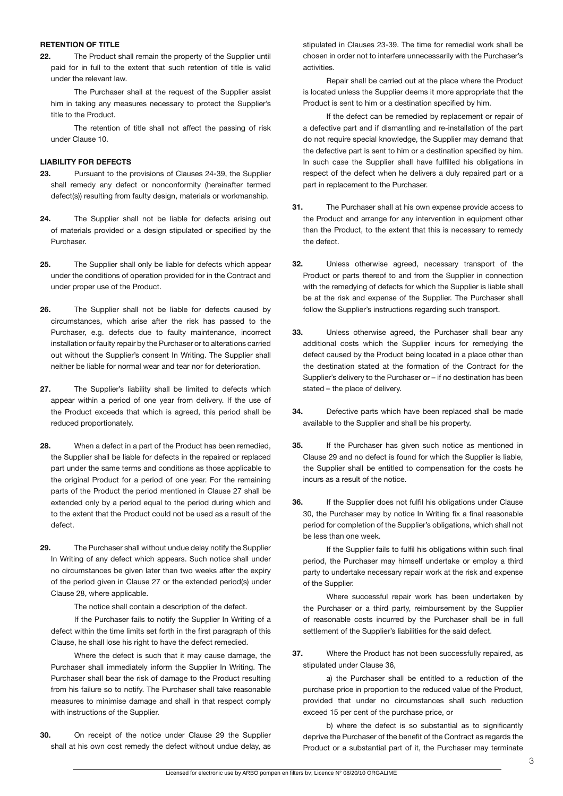#### **RETENTION OF TITLE**

**22.** The Product shall remain the property of the Supplier until paid for in full to the extent that such retention of title is valid under the relevant law.

 The Purchaser shall at the request of the Supplier assist him in taking any measures necessary to protect the Supplier's title to the Product.

 The retention of title shall not affect the passing of risk under Clause 10.

## **LIABILITY FOR DEFECTS**

- **23.** Pursuant to the provisions of Clauses 24-39, the Supplier shall remedy any defect or nonconformity (hereinafter termed defect(s)) resulting from faulty design, materials or workmanship.
- **24.** The Supplier shall not be liable for defects arising out of materials provided or a design stipulated or specified by the Purchaser.
- **25.** The Supplier shall only be liable for defects which appear under the conditions of operation provided for in the Contract and under proper use of the Product.
- **26.** The Supplier shall not be liable for defects caused by circumstances, which arise after the risk has passed to the Purchaser, e.g. defects due to faulty maintenance, incorrect installation or faulty repair by the Purchaser or to alterations carried out without the Supplier's consent In Writing. The Supplier shall neither be liable for normal wear and tear nor for deterioration.
- **27.** The Supplier's liability shall be limited to defects which appear within a period of one year from delivery. If the use of the Product exceeds that which is agreed, this period shall be reduced proportionately.
- **28.** When a defect in a part of the Product has been remedied, the Supplier shall be liable for defects in the repaired or replaced part under the same terms and conditions as those applicable to the original Product for a period of one year. For the remaining parts of the Product the period mentioned in Clause 27 shall be extended only by a period equal to the period during which and to the extent that the Product could not be used as a result of the defect.
- **29.** The Purchaser shall without undue delay notify the Supplier In Writing of any defect which appears. Such notice shall under no circumstances be given later than two weeks after the expiry of the period given in Clause 27 or the extended period(s) under Clause 28, where applicable.

 The notice shall contain a description of the defect.

 If the Purchaser fails to notify the Supplier In Writing of a defect within the time limits set forth in the first paragraph of this Clause, he shall lose his right to have the defect remedied.

 Where the defect is such that it may cause damage, the Purchaser shall immediately inform the Supplier In Writing. The Purchaser shall bear the risk of damage to the Product resulting from his failure so to notify. The Purchaser shall take reasonable measures to minimise damage and shall in that respect comply with instructions of the Supplier.

**30.** On receipt of the notice under Clause 29 the Supplier shall at his own cost remedy the defect without undue delay, as

stipulated in Clauses 23-39. The time for remedial work shall be chosen in order not to interfere unnecessarily with the Purchaser's activities.

 Repair shall be carried out at the place where the Product is located unless the Supplier deems it more appropriate that the Product is sent to him or a destination specified by him.

 If the defect can be remedied by replacement or repair of a defective part and if dismantling and re-installation of the part do not require special knowledge, the Supplier may demand that the defective part is sent to him or a destination specified by him. In such case the Supplier shall have fulfilled his obligations in respect of the defect when he delivers a duly repaired part or a part in replacement to the Purchaser.

- **31.** The Purchaser shall at his own expense provide access to the Product and arrange for any intervention in equipment other than the Product, to the extent that this is necessary to remedy the defect.
- **32.** Unless otherwise agreed, necessary transport of the Product or parts thereof to and from the Supplier in connection with the remedying of defects for which the Supplier is liable shall be at the risk and expense of the Supplier. The Purchaser shall follow the Supplier's instructions regarding such transport.
- **33.** Unless otherwise agreed, the Purchaser shall bear any additional costs which the Supplier incurs for remedying the defect caused by the Product being located in a place other than the destination stated at the formation of the Contract for the Supplier's delivery to the Purchaser or – if no destination has been stated – the place of delivery.
- **34.** Defective parts which have been replaced shall be made available to the Supplier and shall be his property.
- **35.** If the Purchaser has given such notice as mentioned in Clause 29 and no defect is found for which the Supplier is liable, the Supplier shall be entitled to compensation for the costs he incurs as a result of the notice.
- **36.** If the Supplier does not fulfil his obligations under Clause 30, the Purchaser may by notice In Writing fix a final reasonable period for completion of the Supplier's obligations, which shall not be less than one week.

 If the Supplier fails to fulfil his obligations within such final period, the Purchaser may himself undertake or employ a third party to undertake necessary repair work at the risk and expense of the Supplier.

 Where successful repair work has been undertaken by the Purchaser or a third party, reimbursement by the Supplier of reasonable costs incurred by the Purchaser shall be in full settlement of the Supplier's liabilities for the said defect.

**37.** Where the Product has not been successfully repaired, as stipulated under Clause 36,

 a) the Purchaser shall be entitled to a reduction of the purchase price in proportion to the reduced value of the Product, provided that under no circumstances shall such reduction exceed 15 per cent of the purchase price, or

b) where the defect is so substantial as to significantly deprive the Purchaser of the benefit of the Contract as regards the Product or a substantial part of it, the Purchaser may terminate